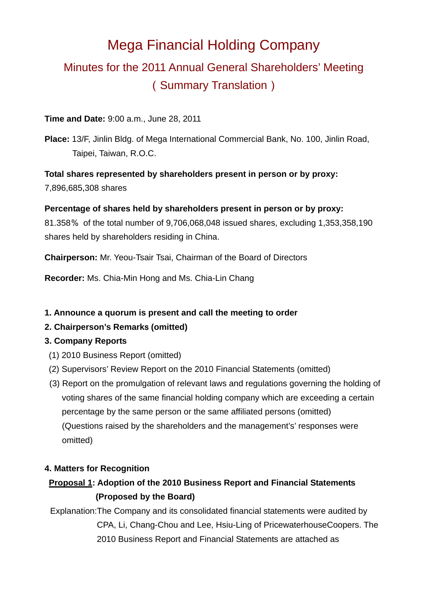# Mega Financial Holding Company Minutes for the 2011 Annual General Shareholders' Meeting (Summary Translation)

#### **Time and Date:** 9:00 a.m., June 28, 2011

**Place:** 13/F, Jinlin Bldg. of Mega International Commercial Bank, No. 100, Jinlin Road, Taipei, Taiwan, R.O.C.

**Total shares represented by shareholders present in person or by proxy:** 7,896,685,308 shares

**Percentage of shares held by shareholders present in person or by proxy:** 

81.358% of the total number of 9,706,068,048 issued shares, excluding 1,353,358,190 shares held by shareholders residing in China.

**Chairperson:** Mr. Yeou-Tsair Tsai, Chairman of the Board of Directors

**Recorder:** Ms. Chia-Min Hong and Ms. Chia-Lin Chang

### **1. Announce a quorum is present and call the meeting to order**

### **2. Chairperson's Remark**s **(omitted)**

#### **3. Company Reports**

- (1) 2010 Business Report (omitted)
- (2) Supervisors' Review Report on the 2010 Financial Statements (omitted)
- (3) Report on the promulgation of relevant laws and regulations governing the holding of voting shares of the same financial holding company which are exceeding a certain percentage by the same person or the same affiliated persons (omitted) (Questions raised by the shareholders and the management's' responses were omitted)

#### **4. Matters for Recognition**

# **Proposal 1: Adoption of the 2010 Business Report and Financial Statements (Proposed by the Board)**

Explanation:The Company and its consolidated financial statements were audited by CPA, Li, Chang-Chou and Lee, Hsiu-Ling of PricewaterhouseCoopers. The 2010 Business Report and Financial Statements are attached as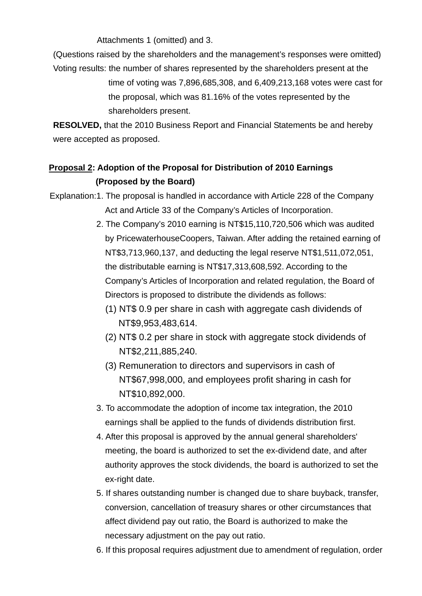Attachments 1 (omitted) and 3.

(Questions raised by the shareholders and the management's responses were omitted)

Voting results: the number of shares represented by the shareholders present at the time of voting was 7,896,685,308, and 6,409,213,168 votes were cast for the proposal, which was 81.16% of the votes represented by the shareholders present.

**RESOLVED,** that the 2010 Business Report and Financial Statements be and hereby were accepted as proposed.

# **Proposal 2: Adoption of the Proposal for Distribution of 2010 Earnings (Proposed by the Board)**

Explanation:1. The proposal is handled in accordance with Article 228 of the Company Act and Article 33 of the Company's Articles of Incorporation.

- 2. The Company's 2010 earning is NT\$15,110,720,506 which was audited by PricewaterhouseCoopers, Taiwan. After adding the retained earning of NT\$3,713,960,137, and deducting the legal reserve NT\$1,511,072,051, the distributable earning is NT\$17,313,608,592. According to the Company's Articles of Incorporation and related regulation, the Board of Directors is proposed to distribute the dividends as follows:
	- (1) NT\$ 0.9 per share in cash with aggregate cash dividends of NT\$9,953,483,614.
	- (2) NT\$ 0.2 per share in stock with aggregate stock dividends of NT\$2,211,885,240.
	- (3) Remuneration to directors and supervisors in cash of NT\$67,998,000, and employees profit sharing in cash for NT\$10,892,000.
- 3. To accommodate the adoption of income tax integration, the 2010 earnings shall be applied to the funds of dividends distribution first.
- 4. After this proposal is approved by the annual general shareholders' meeting, the board is authorized to set the ex-dividend date, and after authority approves the stock dividends, the board is authorized to set the ex-right date.
- 5. If shares outstanding number is changed due to share buyback, transfer, conversion, cancellation of treasury shares or other circumstances that affect dividend pay out ratio, the Board is authorized to make the necessary adjustment on the pay out ratio.
- 6. If this proposal requires adjustment due to amendment of regulation, order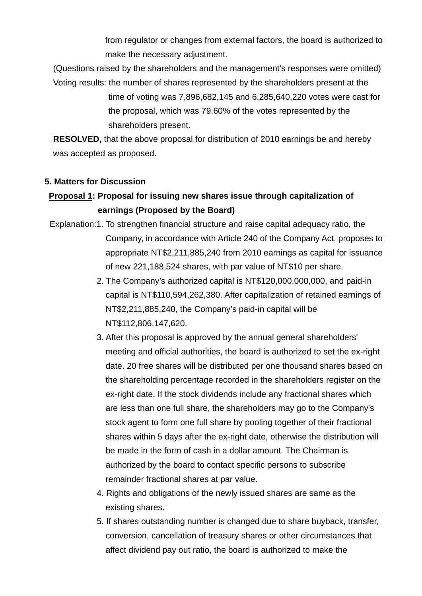from regulator or changes from external factors, the board is authorized to make the necessary adjustment.

(Questions raised by the shareholders and the management's responses were omitted) Voting results: the number of shares represented by the shareholders present at the

> time of voting was 7,896,682,145 and 6,285,640,220 votes were cast for the proposal, which was 79.60% of the votes represented by the shareholders present.

**RESOLVED,** that the above proposal for distribution of 2010 earnings be and hereby was accepted as proposed.

#### **5. Matters for Discussion**

### **Proposal 1: Proposal for issuing new shares issue through capitalization of earnings (Proposed by the Board)**

- Explanation:1. To strengthen financial structure and raise capital adequacy ratio, the Company, in accordance with Article 240 of the Company Act, proposes to appropriate NT\$2,211,885,240 from 2010 earnings as capital for issuance of new 221,188,524 shares, with par value of NT\$10 per share.
	- 2. The Company's authorized capital is NT\$120,000,000,000, and paid-in capital is NT\$110,594,262,380. After capitalization of retained earnings of NT\$2,211,885,240, the Company's paid-in capital will be NT\$112,806,147,620.
	- 3. After this proposal is approved by the annual general shareholders' meeting and official authorities, the board is authorized to set the ex-right date. 20 free shares will be distributed per one thousand shares based on the shareholding percentage recorded in the shareholders register on the ex-right date. If the stock dividends include any fractional shares which are less than one full share, the shareholders may go to the Company's stock agent to form one full share by pooling together of their fractional shares within 5 days after the ex-right date, otherwise the distribution will be made in the form of cash in a dollar amount. The Chairman is authorized by the board to contact specific persons to subscribe remainder fractional shares at par value.
	- 4. Rights and obligations of the newly issued shares are same as the existing shares.
	- 5. If shares outstanding number is changed due to share buyback, transfer, conversion, cancellation of treasury shares or other circumstances that affect dividend pay out ratio, the board is authorized to make the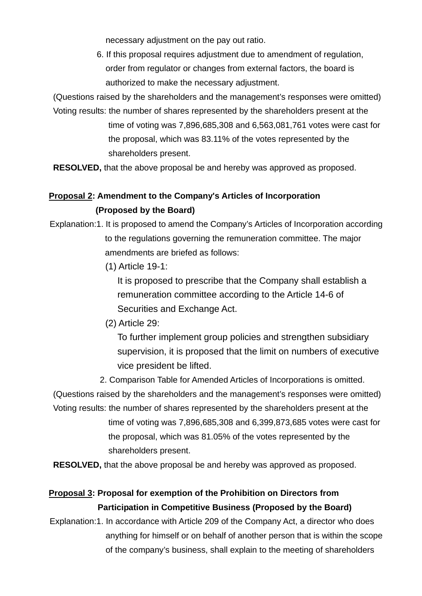necessary adjustment on the pay out ratio.

6. If this proposal requires adjustment due to amendment of regulation, order from regulator or changes from external factors, the board is authorized to make the necessary adjustment.

(Questions raised by the shareholders and the management's responses were omitted)

Voting results: the number of shares represented by the shareholders present at the time of voting was 7,896,685,308 and 6,563,081,761 votes were cast for the proposal, which was 83.11% of the votes represented by the shareholders present.

**RESOLVED,** that the above proposal be and hereby was approved as proposed.

### **Proposal 2: Amendment to the Company's Articles of Incorporation (Proposed by the Board)**

Explanation:1. It is proposed to amend the Company's Articles of Incorporation according to the regulations governing the remuneration committee. The major amendments are briefed as follows:

(1) Article 19-1:

It is proposed to prescribe that the Company shall establish a remuneration committee according to the Article 14-6 of Securities and Exchange Act.

(2) Article 29:

To further implement group policies and strengthen subsidiary supervision, it is proposed that the limit on numbers of executive vice president be lifted.

2. Comparison Table for Amended Articles of Incorporations is omitted.

(Questions raised by the shareholders and the management's responses were omitted) Voting results: the number of shares represented by the shareholders present at the

time of voting was 7,896,685,308 and 6,399,873,685 votes were cast for the proposal, which was 81.05% of the votes represented by the shareholders present.

**RESOLVED,** that the above proposal be and hereby was approved as proposed.

# **Proposal 3: Proposal for exemption of the Prohibition on Directors from Participation in Competitive Business (Proposed by the Board)**

Explanation:1. In accordance with Article 209 of the Company Act, a director who does anything for himself or on behalf of another person that is within the scope of the company's business, shall explain to the meeting of shareholders